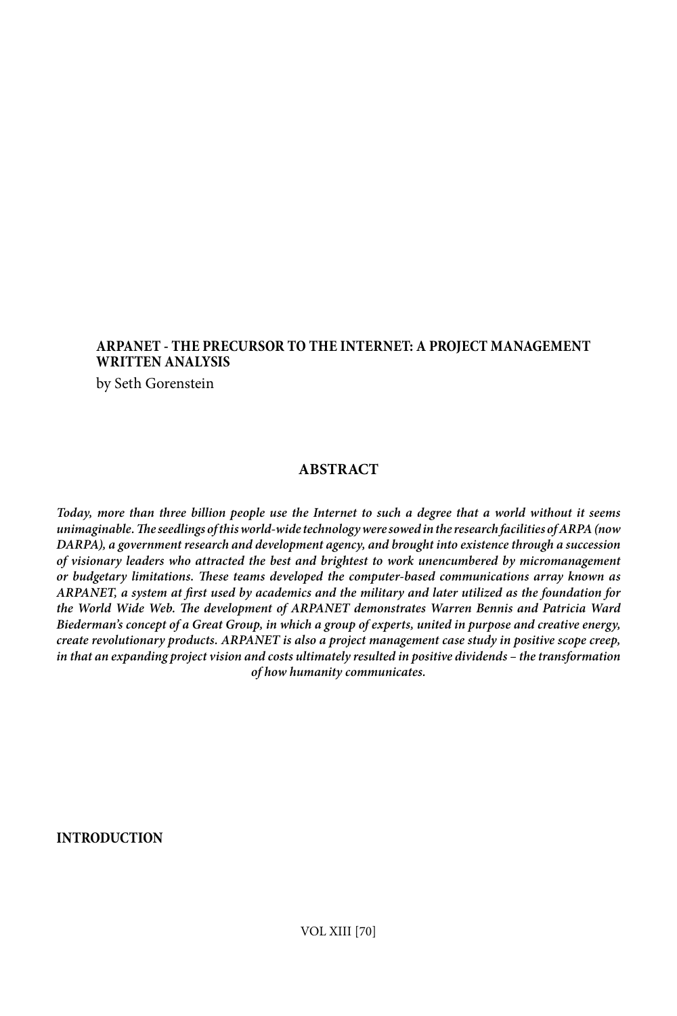# **ARPANET - THE PRECURSOR TO THE INTERNET: A PROJECT MANAGEMENT WRITTEN ANALYSIS**

by Seth Gorenstein

# **ABSTRACT**

*Today, more than three billion people use the Internet to such a degree that a world without it seems unimaginable. The seedlings of this world-wide technology were sowed in the research facilities of ARPA (now DARPA), a government research and development agency, and brought into existence through a succession of visionary leaders who attracted the best and brightest to work unencumbered by micromanagement or budgetary limitations. These teams developed the computer-based communications array known as ARPANET, a system at first used by academics and the military and later utilized as the foundation for the World Wide Web. The development of ARPANET demonstrates Warren Bennis and Patricia Ward Biederman's concept of a Great Group, in which a group of experts, united in purpose and creative energy, create revolutionary products. ARPANET is also a project management case study in positive scope creep, in that an expanding project vision and costs ultimately resulted in positive dividends – the transformation of how humanity communicates.*

**INTRODUCTION**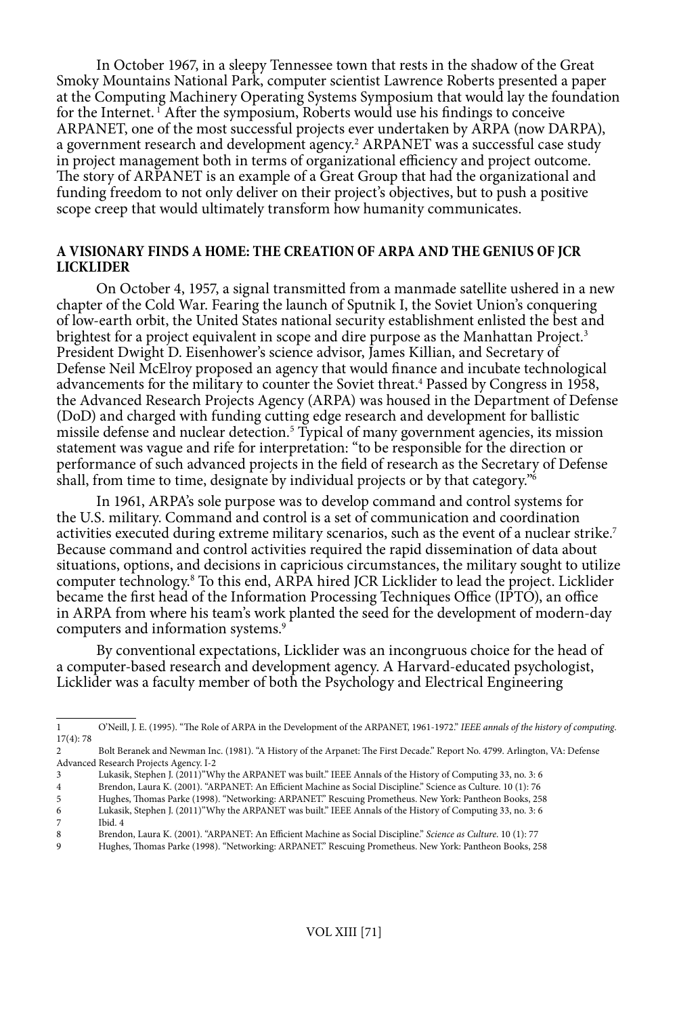In October 1967, in a sleepy Tennessee town that rests in the shadow of the Great Smoky Mountains National Park, computer scientist Lawrence Roberts presented a paper at the Computing Machinery Operating Systems Symposium that would lay the foundation for the Internet. 1 After the symposium, Roberts would use his findings to conceive ARPANET, one of the most successful projects ever undertaken by ARPA (now DARPA), a government research and development agency.<sup>2</sup> ARPANET was a successful case study in project management both in terms of organizational efficiency and project outcome. The story of ARPANET is an example of a Great Group that had the organizational and funding freedom to not only deliver on their project's objectives, but to push a positive scope creep that would ultimately transform how humanity communicates.

### **A VISIONARY FINDS A HOME: THE CREATION OF ARPA AND THE GENIUS OF JCR LICKLIDER**

On October 4, 1957, a signal transmitted from a manmade satellite ushered in a new chapter of the Cold War. Fearing the launch of Sputnik I, the Soviet Union's conquering of low-earth orbit, the United States national security establishment enlisted the best and brightest for a project equivalent in scope and dire purpose as the Manhattan Project.<sup>3</sup> President Dwight D. Eisenhower's science advisor, James Killian, and Secretary of Defense Neil McElroy proposed an agency that would finance and incubate technological advancements for the military to counter the Soviet threat.<sup>4</sup> Passed by Congress in 1958, the Advanced Research Projects Agency (ARPA) was housed in the Department of Defense (DoD) and charged with funding cutting edge research and development for ballistic missile defense and nuclear detection.<sup>5</sup> Typical of many government agencies, its mission statement was vague and rife for interpretation: "to be responsible for the direction or performance of such advanced projects in the field of research as the Secretary of Defense shall, from time to time, designate by individual projects or by that category.<sup>"6</sup>

In 1961, ARPA's sole purpose was to develop command and control systems for the U.S. military. Command and control is a set of communication and coordination activities executed during extreme military scenarios, such as the event of a nuclear strike.<sup>7</sup> Because command and control activities required the rapid dissemination of data about situations, options, and decisions in capricious circumstances, the military sought to utilize computer technology.<sup>8</sup> To this end, ARPA hired JCR Licklider to lead the project. Licklider became the first head of the Information Processing Techniques Office (IPTO), an office in ARPA from where his team's work planted the seed for the development of modern-day computers and information systems.<sup>9</sup>

By conventional expectations, Licklider was an incongruous choice for the head of a computer-based research and development agency. A Harvard-educated psychologist, Licklider was a faculty member of both the Psychology and Electrical Engineering

4 Brendon, Laura K. (2001). "ARPANET: An Efficient Machine as Social Discipline." Science as Culture. 10 (1): 76

7 Ibid. 4

9 Hughes, Thomas Parke (1998). "Networking: ARPANET." Rescuing Prometheus. New York: Pantheon Books, 258

<sup>1</sup> O'Neill, J. E. (1995). "The Role of ARPA in the Development of the ARPANET, 1961-1972." *IEEE annals of the history of computing*. 17(4): 78

<sup>2</sup> Bolt Beranek and Newman Inc. (1981). "A History of the Arpanet: The First Decade." Report No. 4799. Arlington, VA: Defense Advanced Research Projects Agency. I-2

<sup>3</sup> Lukasik, Stephen J. (2011)"Why the ARPANET was built." IEEE Annals of the History of Computing 33, no. 3: 6

<sup>5</sup> Hughes, Thomas Parke (1998). "Networking: ARPANET." Rescuing Prometheus. New York: Pantheon Books, 258 6 Lukasik, Stephen J. (2011)"Why the ARPANET was built." IEEE Annals of the History of Computing 33, no. 3: 6

<sup>8</sup> Brendon, Laura K. (2001). "ARPANET: An Efficient Machine as Social Discipline." *Science as Culture*. 10 (1): 77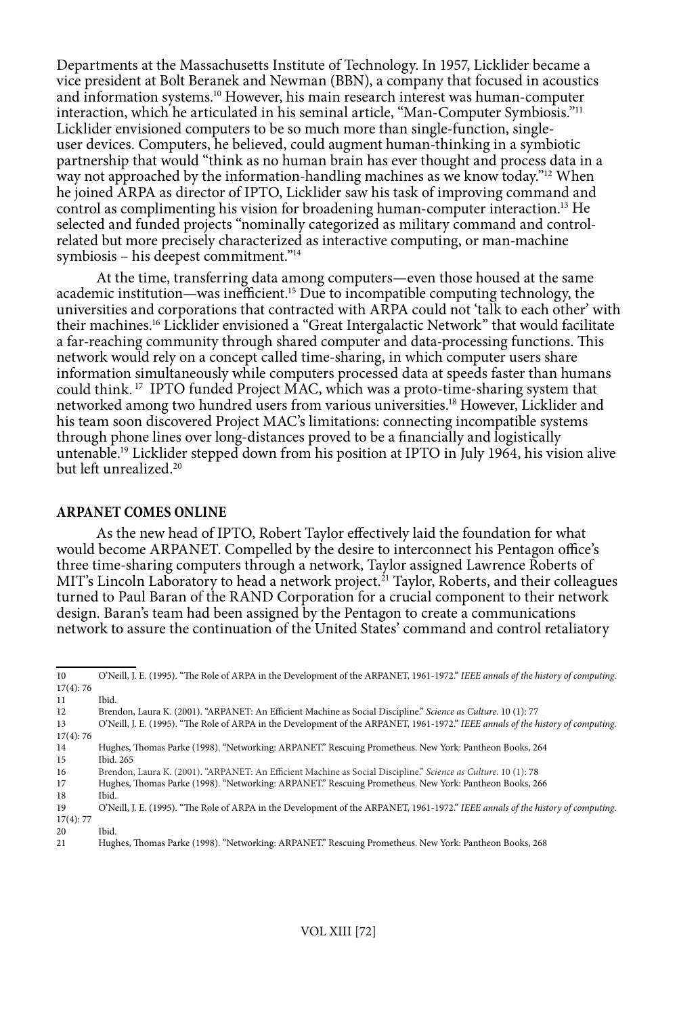Departments at the Massachusetts Institute of Technology. In 1957, Licklider became a vice president at Bolt Beranek and Newman (BBN), a company that focused in acoustics and information systems.10 However, his main research interest was human-computer interaction, which he articulated in his seminal article, "Man-Computer Symbiosis."11 Licklider envisioned computers to be so much more than single-function, singleuser devices. Computers, he believed, could augment human-thinking in a symbiotic partnership that would "think as no human brain has ever thought and process data in a way not approached by the information-handling machines as we know today."<sup>12</sup> When he joined ARPA as director of IPTO, Licklider saw his task of improving command and control as complimenting his vision for broadening human-computer interaction.13 He selected and funded projects "nominally categorized as military command and controlrelated but more precisely characterized as interactive computing, or man-machine symbiosis – his deepest commitment."14

At the time, transferring data among computers—even those housed at the same academic institution—was inefficient.<sup>15</sup> Due to incompatible computing technology, the universities and corporations that contracted with ARPA could not 'talk to each other' with their machines.16 Licklider envisioned a "Great Intergalactic Network" that would facilitate a far-reaching community through shared computer and data-processing functions. This network would rely on a concept called time-sharing, in which computer users share information simultaneously while computers processed data at speeds faster than humans could think. 17 IPTO funded Project MAC, which was a proto-time-sharing system that networked among two hundred users from various universities.<sup>18</sup> However, Licklider and his team soon discovered Project MAC's limitations: connecting incompatible systems through phone lines over long-distances proved to be a financially and logistically untenable.19 Licklider stepped down from his position at IPTO in July 1964, his vision alive but left unrealized.<sup>20</sup>

#### **ARPANET COMES ONLINE**

As the new head of IPTO, Robert Taylor effectively laid the foundation for what would become ARPANET. Compelled by the desire to interconnect his Pentagon office's three time-sharing computers through a network, Taylor assigned Lawrence Roberts of MIT's Lincoln Laboratory to head a network project.<sup>21</sup> Taylor, Roberts, and their colleagues turned to Paul Baran of the RAND Corporation for a crucial component to their network design. Baran's team had been assigned by the Pentagon to create a communications network to assure the continuation of the United States' command and control retaliatory

18 Ibid.

20 Ibid.<br>21 Hug

<sup>10</sup> O'Neill, J. E. (1995). "The Role of ARPA in the Development of the ARPANET, 1961-1972." *IEEE annals of the history of computing*.  $17(4): 76$ <br> $11$ 

<sup>11</sup> Ibid.<br>12 Bren

<sup>12</sup> Brendon, Laura K. (2001). "ARPANET: An Efficient Machine as Social Discipline." *Science as Culture*. 10 (1): 77

<sup>13</sup> O'Neill, J. E. (1995). "The Role of ARPA in the Development of the ARPANET, 1961-1972." *IEEE annals of the history of computing*. 17(4): 76

<sup>14</sup> Hughes, Thomas Parke (1998). "Networking: ARPANET." Rescuing Prometheus. New York: Pantheon Books, 264 15 Ibid. 265

<sup>16</sup> Brendon, Laura K. (2001). "ARPANET: An Efficient Machine as Social Discipline." *Science as Culture*. 10 (1): 78

<sup>17</sup> Hughes, Thomas Parke (1998). "Networking: ARPANET." Rescuing Prometheus. New York: Pantheon Books, 266

<sup>19</sup> O'Neill, J. E. (1995). "The Role of ARPA in the Development of the ARPANET, 1961-1972." *IEEE annals of the history of computing*. 17(4): 77

<sup>21</sup> Hughes, Thomas Parke (1998). "Networking: ARPANET." Rescuing Prometheus. New York: Pantheon Books, 268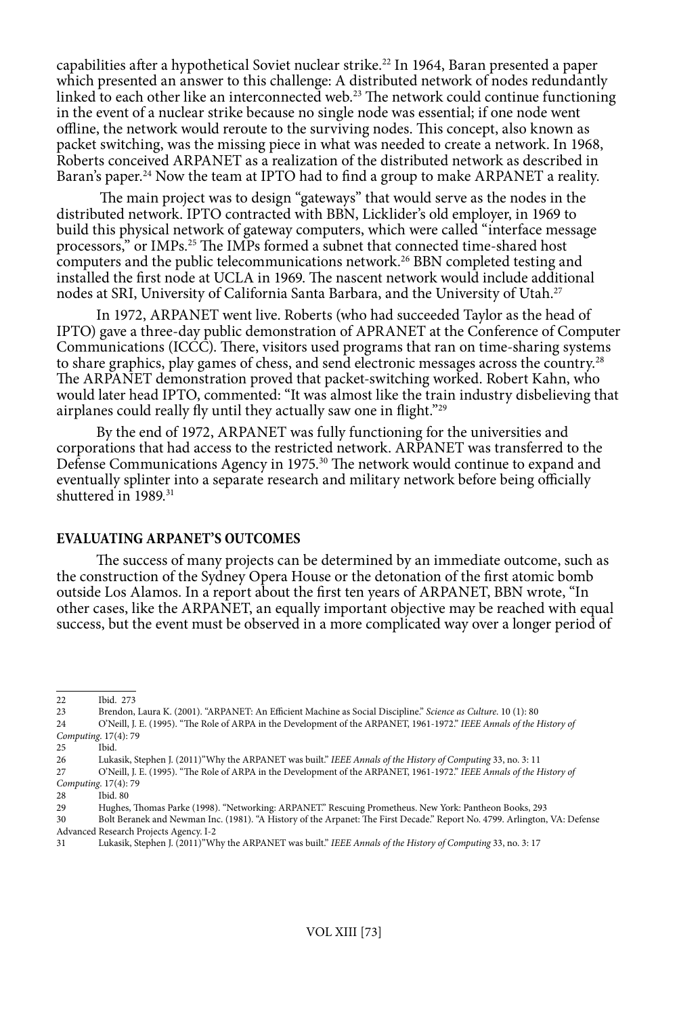capabilities after a hypothetical Soviet nuclear strike.<sup>22</sup> In 1964, Baran presented a paper which presented an answer to this challenge: A distributed network of nodes redundantly linked to each other like an interconnected web.<sup>23</sup> The network could continue functioning in the event of a nuclear strike because no single node was essential; if one node went offline, the network would reroute to the surviving nodes. This concept, also known as packet switching, was the missing piece in what was needed to create a network. In 1968, Roberts conceived ARPANET as a realization of the distributed network as described in Baran's paper.<sup>24</sup> Now the team at IPTO had to find a group to make ARPANET a reality.

 The main project was to design "gateways" that would serve as the nodes in the distributed network. IPTO contracted with BBN, Licklider's old employer, in 1969 to build this physical network of gateway computers, which were called "interface message processors," or IMPs.<sup>25</sup> The IMPs formed a subnet that connected time-shared host computers and the public telecommunications network.26 BBN completed testing and installed the first node at UCLA in 1969. The nascent network would include additional nodes at SRI, University of California Santa Barbara, and the University of Utah.27

In 1972, ARPANET went live. Roberts (who had succeeded Taylor as the head of IPTO) gave a three-day public demonstration of APRANET at the Conference of Computer Communications (ICCC). There, visitors used programs that ran on time-sharing systems to share graphics, play games of chess, and send electronic messages across the country.<sup>28</sup> The ARPANET demonstration proved that packet-switching worked. Robert Kahn, who would later head IPTO, commented: "It was almost like the train industry disbelieving that airplanes could really fly until they actually saw one in flight."29

By the end of 1972, ARPANET was fully functioning for the universities and corporations that had access to the restricted network. ARPANET was transferred to the Defense Communications Agency in 1975.<sup>30</sup> The network would continue to expand and eventually splinter into a separate research and military network before being officially shuttered in 1989.<sup>31</sup>

#### **EVALUATING ARPANET'S OUTCOMES**

The success of many projects can be determined by an immediate outcome, such as the construction of the Sydney Opera House or the detonation of the first atomic bomb outside Los Alamos. In a report about the first ten years of ARPANET, BBN wrote, "In other cases, like the ARPANET, an equally important objective may be reached with equal success, but the event must be observed in a more complicated way over a longer period of

<sup>22</sup> Ibid. 273<br>23 Brendon.

<sup>23</sup> Brendon, Laura K. (2001). "ARPANET: An Efficient Machine as Social Discipline." *Science as Culture*. 10 (1): 80

<sup>24</sup> O'Neill, J. E. (1995). "The Role of ARPA in the Development of the ARPANET, 1961-1972." *IEEE Annals of the History of Computing*. 17(4): 79

<sup>25</sup> Ibid.

<sup>26</sup> Lukasik, Stephen J. (2011)"Why the ARPANET was built." *IEEE Annals of the History of Computing* 33, no. 3: 11<br>27 O'Neill, J. E. (1995). "The Role of ARPA in the Development of the ARPANET, 1961-1972." *IEEE Annals of t* 

<sup>27</sup> O'Neill, J. E. (1995). "The Role of ARPA in the Development of the ARPANET, 1961-1972." *IEEE Annals of the History of Computing*. 17(4): 79

Ibid. 80

<sup>29</sup> Hughes, Thomas Parke (1998). "Networking: ARPANET." Rescuing Prometheus. New York: Pantheon Books, 293

<sup>30</sup> Bolt Beranek and Newman Inc. (1981). "A History of the Arpanet: The First Decade." Report No. 4799. Arlington, VA: Defense Advanced Research Projects Agency. I-2<br>31 Lukasik. Stephen I. (2011)"WI

Lukasik, Stephen J. (2011)<sup>"</sup>Why the ARPANET was built." *IEEE Annals of the History of Computing* 33, no. 3: 17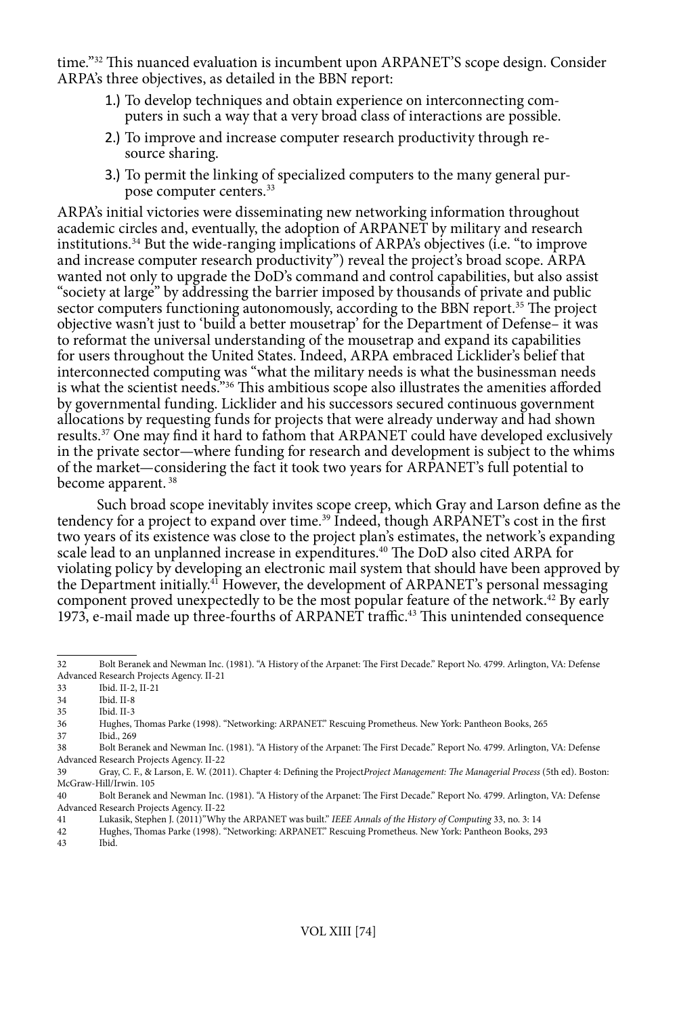time."32 This nuanced evaluation is incumbent upon ARPANET'S scope design. Consider ARPA's three objectives, as detailed in the BBN report:

- 1.) To develop techniques and obtain experience on interconnecting computers in such a way that a very broad class of interactions are possible.
- 2.) To improve and increase computer research productivity through resource sharing.
- 3.) To permit the linking of specialized computers to the many general purpose computer centers.33

ARPA's initial victories were disseminating new networking information throughout academic circles and, eventually, the adoption of ARPANET by military and research institutions.34 But the wide-ranging implications of ARPA's objectives (i.e. "to improve and increase computer research productivity") reveal the project's broad scope. ARPA wanted not only to upgrade the DoD's command and control capabilities, but also assist "society at large" by addressing the barrier imposed by thousands of private and public sector computers functioning autonomously, according to the BBN report.<sup>35</sup> The project objective wasn't just to 'build a better mousetrap' for the Department of Defense– it was to reformat the universal understanding of the mousetrap and expand its capabilities for users throughout the United States. Indeed, ARPA embraced Licklider's belief that interconnected computing was "what the military needs is what the businessman needs is what the scientist needs."36 This ambitious scope also illustrates the amenities afforded by governmental funding. Licklider and his successors secured continuous government allocations by requesting funds for projects that were already underway and had shown results.37 One may find it hard to fathom that ARPANET could have developed exclusively in the private sector—where funding for research and development is subject to the whims of the market—considering the fact it took two years for ARPANET's full potential to become apparent. 38

Such broad scope inevitably invites scope creep, which Gray and Larson define as the tendency for a project to expand over time.39 Indeed, though ARPANET's cost in the first two years of its existence was close to the project plan's estimates, the network's expanding scale lead to an unplanned increase in expenditures.40 The DoD also cited ARPA for violating policy by developing an electronic mail system that should have been approved by the Department initially.<sup>41</sup> However, the development of ARPANET's personal messaging component proved unexpectedly to be the most popular feature of the network.<sup>42</sup> By early 1973, e-mail made up three-fourths of  $ARPANET$  traffic.<sup>43</sup> This unintended consequence

37 Ibid., 269

<sup>32</sup> Bolt Beranek and Newman Inc. (1981). "A History of the Arpanet: The First Decade." Report No. 4799. Arlington, VA: Defense Advanced Research Projects Agency. II-21

<sup>33</sup> Ibid. II-2, II-21

<sup>34</sup> Ibid. II-8

Ibid. II-3

<sup>36</sup> Hughes, Thomas Parke (1998). "Networking: ARPANET." Rescuing Prometheus. New York: Pantheon Books, 265

<sup>38</sup> Bolt Beranek and Newman Inc. (1981). "A History of the Arpanet: The First Decade." Report No. 4799. Arlington, VA: Defense Advanced Research Projects Agency. II-22

<sup>39</sup> Gray, C. F., & Larson, E. W. (2011). Chapter 4: Defining the Project*Project Management: The Managerial Process* (5th ed). Boston: McGraw-Hill/Irwin. 105

<sup>40</sup> Bolt Beranek and Newman Inc. (1981). "A History of the Arpanet: The First Decade." Report No. 4799. Arlington, VA: Defense Advanced Research Projects Agency. II-22

<sup>41</sup> Lukasik, Stephen J. (2011)"Why the ARPANET was built." *IEEE Annals of the History of Computing* 33, no. 3: 14

<sup>42</sup> Hughes, Thomas Parke (1998). "Networking: ARPANET." Rescuing Prometheus. New York: Pantheon Books, 293

Ibid.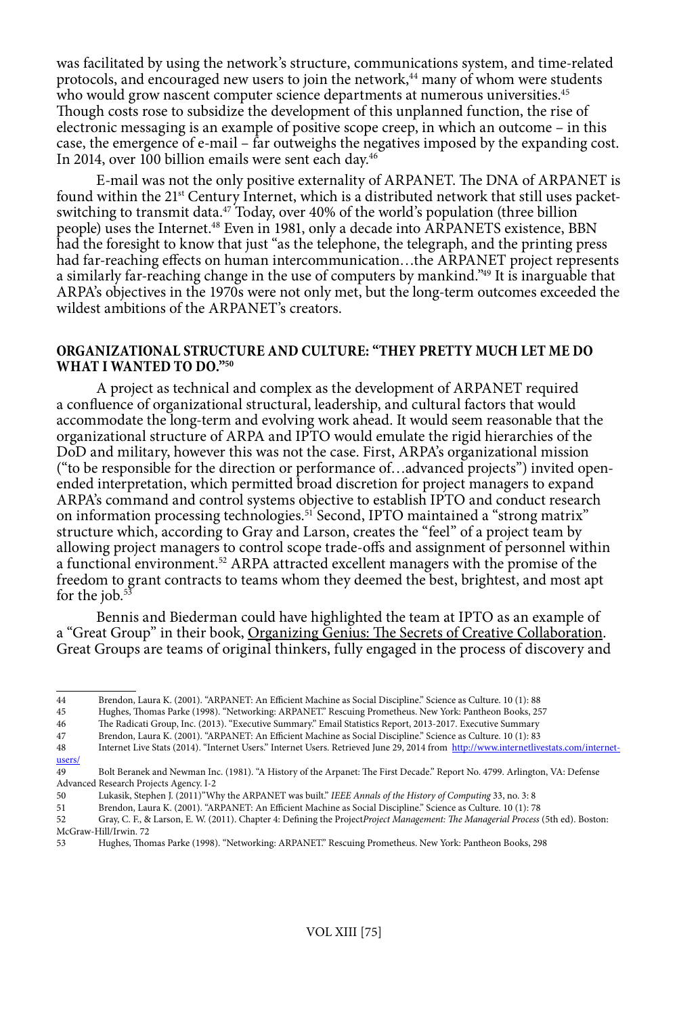was facilitated by using the network's structure, communications system, and time-related protocols, and encouraged new users to join the network,<sup>44</sup> many of whom were students who would grow nascent computer science departments at numerous universities.<sup>45</sup> Though costs rose to subsidize the development of this unplanned function, the rise of electronic messaging is an example of positive scope creep, in which an outcome – in this case, the emergence of e-mail – far outweighs the negatives imposed by the expanding cost. In 2014, over 100 billion emails were sent each day.<sup>46</sup>

E-mail was not the only positive externality of ARPANET. The DNA of ARPANET is found within the 21<sup>st</sup> Century Internet, which is a distributed network that still uses packetswitching to transmit data. $47$  Today, over 40% of the world's population (three billion people) uses the Internet.<sup>48</sup> Even in 1981, only a decade into ARPANETS existence, BBN had the foresight to know that just "as the telephone, the telegraph, and the printing press had far-reaching effects on human intercommunication…the ARPANET project represents a similarly far-reaching change in the use of computers by mankind."49 It is inarguable that ARPA's objectives in the 1970s were not only met, but the long-term outcomes exceeded the wildest ambitions of the ARPANET's creators.

#### **ORGANIZATIONAL STRUCTURE AND CULTURE: "THEY PRETTY MUCH LET ME DO WHAT I WANTED TO DO."50**

A project as technical and complex as the development of ARPANET required a confluence of organizational structural, leadership, and cultural factors that would accommodate the long-term and evolving work ahead. It would seem reasonable that the organizational structure of ARPA and IPTO would emulate the rigid hierarchies of the DoD and military, however this was not the case. First, ARPA's organizational mission ("to be responsible for the direction or performance of…advanced projects") invited openended interpretation, which permitted broad discretion for project managers to expand ARPA's command and control systems objective to establish IPTO and conduct research on information processing technologies.<sup>51</sup> Second, IPTO maintained a "strong matrix" structure which, according to Gray and Larson, creates the "feel" of a project team by allowing project managers to control scope trade-offs and assignment of personnel within a functional environment.52 ARPA attracted excellent managers with the promise of the freedom to grant contracts to teams whom they deemed the best, brightest, and most apt for the job.<sup>53</sup>

Bennis and Biederman could have highlighted the team at IPTO as an example of a "Great Group" in their book, Organizing Genius: The Secrets of Creative Collaboration. Great Groups are teams of original thinkers, fully engaged in the process of discovery and

[users/](http://www.internetlivestats.com/internet-users/)

<sup>44</sup> Brendon, Laura K. (2001). "ARPANET: An Efficient Machine as Social Discipline." Science as Culture. 10 (1): 88

<sup>45</sup> Hughes, Thomas Parke (1998). "Networking: ARPANET." Rescuing Prometheus. New York: Pantheon Books, 257

<sup>46</sup> The Radicati Group, Inc. (2013). "Executive Summary." Email Statistics Report, 2013-2017. Executive Summary

<sup>47</sup> Brendon, Laura K. (2001). "ARPANET: An Efficient Machine as Social Discipline." Science as Culture. 10 (1): 83 48 Internet Live Stats (2014). "Internet Users." Internet Users. Retrieved June 29, 2014 from [http://www.internetlivestats.com/internet-](http://www.internetlivestats.com/internet-users/)

<sup>49</sup> Bolt Beranek and Newman Inc. (1981). "A History of the Arpanet: The First Decade." Report No. 4799. Arlington, VA: Defense Advanced Research Projects Agency. I-2<br>50 **Iuliae**sik Stephen I (2011)<sup>2</sup>Wl

<sup>50</sup> Lukasik, Stephen J. (2011)"Why the ARPANET was built." *IEEE Annals of the History of Computing* 33, no. 3: 8

<sup>51</sup> Brendon, Laura K. (2001). "ARPANET: An Efficient Machine as Social Discipline." Science as Culture. 10 (1): 78

<sup>52</sup> Gray, C. F., & Larson, E. W. (2011). Chapter 4: Defining the Project*Project Management: The Managerial Process* (5th ed). Boston: McGraw-Hill/Irwin. 72<br>53 Hughes, Thor

<sup>53</sup> Hughes, Thomas Parke (1998). "Networking: ARPANET." Rescuing Prometheus. New York: Pantheon Books, 298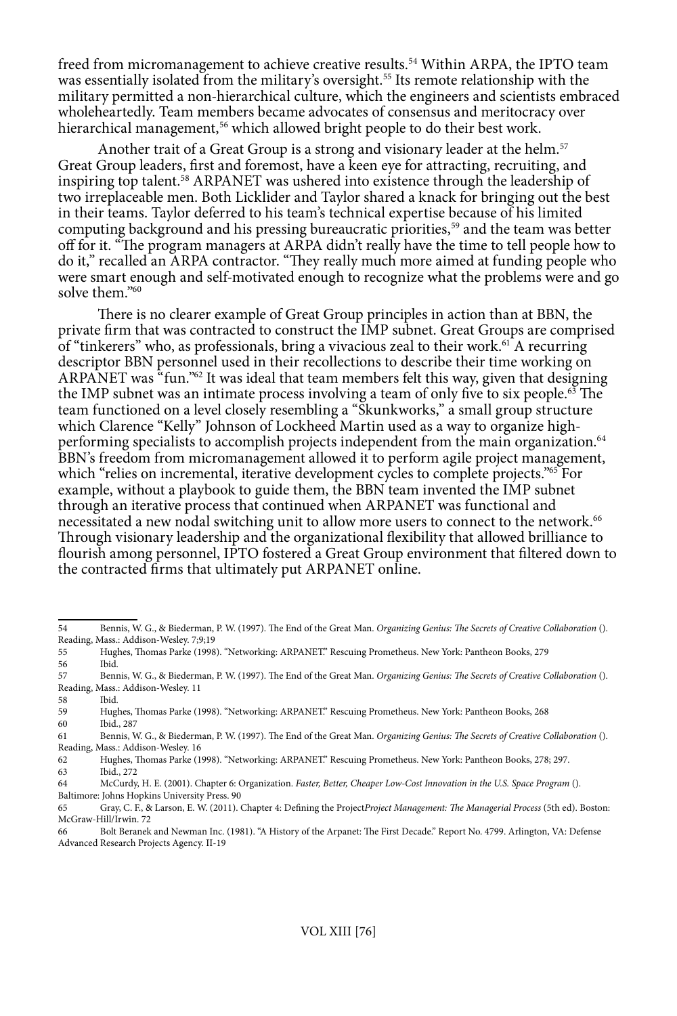freed from micromanagement to achieve creative results.54 Within ARPA, the IPTO team was essentially isolated from the military's oversight.<sup>55</sup> Its remote relationship with the military permitted a non-hierarchical culture, which the engineers and scientists embraced wholeheartedly. Team members became advocates of consensus and meritocracy over hierarchical management,<sup>56</sup> which allowed bright people to do their best work.

Another trait of a Great Group is a strong and visionary leader at the helm.<sup>57</sup> Great Group leaders, first and foremost, have a keen eye for attracting, recruiting, and inspiring top talent.58 ARPANET was ushered into existence through the leadership of two irreplaceable men. Both Licklider and Taylor shared a knack for bringing out the best in their teams. Taylor deferred to his team's technical expertise because of his limited computing background and his pressing bureaucratic priorities,<sup>59</sup> and the team was better off for it. "The program managers at ARPA didn't really have the time to tell people how to do it," recalled an ARPA contractor. "They really much more aimed at funding people who were smart enough and self-motivated enough to recognize what the problems were and go solve them."60

There is no clearer example of Great Group principles in action than at BBN, the private firm that was contracted to construct the IMP subnet. Great Groups are comprised of "tinkerers" who, as professionals, bring a vivacious zeal to their work.<sup>61</sup> A recurring descriptor BBN personnel used in their recollections to describe their time working on ARPANET was "fun." $62$  It was ideal that team members felt this way, given that designing the IMP subnet was an intimate process involving a team of only five to six people.63 The team functioned on a level closely resembling a "Skunkworks," a small group structure which Clarence "Kelly" Johnson of Lockheed Martin used as a way to organize highperforming specialists to accomplish projects independent from the main organization.64 BBN's freedom from micromanagement allowed it to perform agile project management, which "relies on incremental, iterative development cycles to complete projects."<sup>65</sup> For example, without a playbook to guide them, the BBN team invented the IMP subnet through an iterative process that continued when ARPANET was functional and necessitated a new nodal switching unit to allow more users to connect to the network.<sup>66</sup> Through visionary leadership and the organizational flexibility that allowed brilliance to flourish among personnel, IPTO fostered a Great Group environment that filtered down to the contracted firms that ultimately put ARPANET online.

<sup>54</sup> Bennis, W. G., & Biederman, P. W. (1997). The End of the Great Man. *Organizing Genius: The Secrets of Creative Collaboration* (). Reading, Mass.: Addison-Wesley. 7;9;19<br>55 Hughes Thomas Parke (1998

<sup>55</sup> Hughes, Thomas Parke (1998). "Networking: ARPANET." Rescuing Prometheus. New York: Pantheon Books, 279 Ibid.

<sup>57</sup> Bennis, W. G., & Biederman, P. W. (1997). The End of the Great Man. *Organizing Genius: The Secrets of Creative Collaboration* (). Reading, Mass.: Addison-Wesley. 11<br>58 Ibid

<sup>58</sup> Ibid.

<sup>59</sup> Hughes, Thomas Parke (1998). "Networking: ARPANET." Rescuing Prometheus. New York: Pantheon Books, 268 60 Ibid., 287

<sup>61</sup> Bennis, W. G., & Biederman, P. W. (1997). The End of the Great Man. *Organizing Genius: The Secrets of Creative Collaboration* (). Reading, Mass.: Addison-Wesley. 16

<sup>62</sup> Hughes, Thomas Parke (1998). "Networking: ARPANET." Rescuing Prometheus. New York: Pantheon Books, 278; 297.

<sup>63</sup> Ibid., 272

<sup>64</sup> McCurdy, H. E. (2001). Chapter 6: Organization. *Faster, Better, Cheaper Low-Cost Innovation in the U.S. Space Program* ().

Baltimore: Johns Hopkins University Press. 90

<sup>65</sup> Gray, C. F., & Larson, E. W. (2011). Chapter 4: Defining the Project*Project Management: The Managerial Process* (5th ed). Boston: McGraw-Hill/Irwin. 72

<sup>66</sup> Bolt Beranek and Newman Inc. (1981). "A History of the Arpanet: The First Decade." Report No. 4799. Arlington, VA: Defense Advanced Research Projects Agency. II-19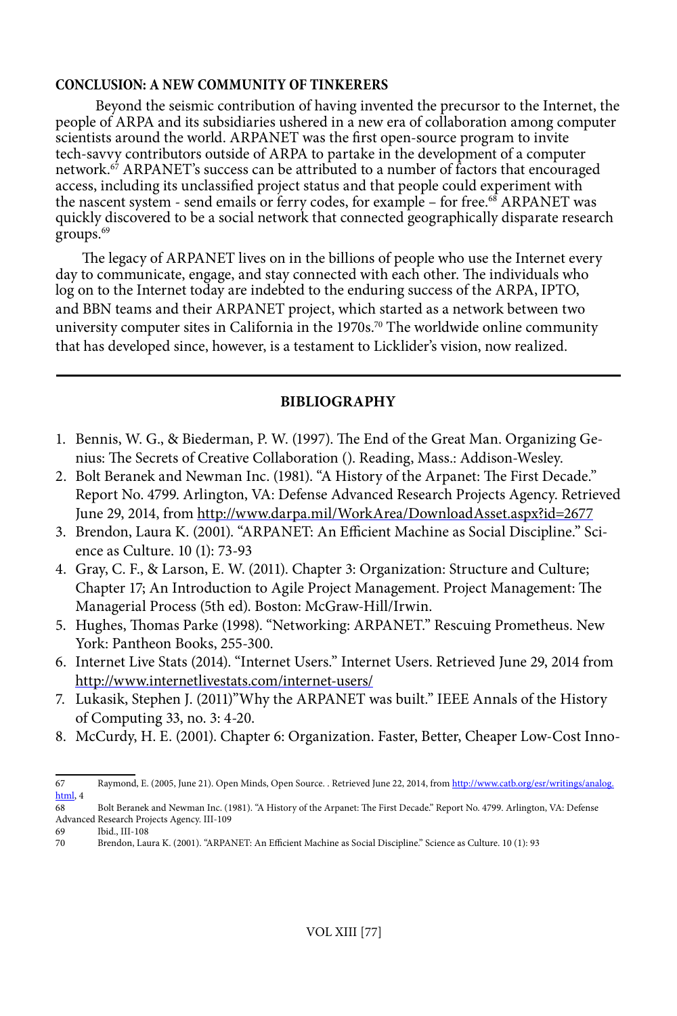### **CONCLUSION: A NEW COMMUNITY OF TINKERERS**

Beyond the seismic contribution of having invented the precursor to the Internet, the people of ARPA and its subsidiaries ushered in a new era of collaboration among computer scientists around the world. ARPANET was the first open-source program to invite tech-savvy contributors outside of ARPA to partake in the development of a computer network.<sup>67</sup> ARPANET's success can be attributed to a number of factors that encouraged access, including its unclassified project status and that people could experiment with the nascent system - send emails or ferry codes, for example - for free.<sup>68</sup> ARPANET was quickly discovered to be a social network that connected geographically disparate research groups.<sup>69</sup>

The legacy of ARPANET lives on in the billions of people who use the Internet every day to communicate, engage, and stay connected with each other. The individuals who log on to the Internet today are indebted to the enduring success of the ARPA, IPTO, and BBN teams and their ARPANET project, which started as a network between two university computer sites in California in the 1970s.<sup>70</sup> The worldwide online community that has developed since, however, is a testament to Licklider's vision, now realized.

# **BIBLIOGRAPHY**

- 1. Bennis, W. G., & Biederman, P. W. (1997). The End of the Great Man. Organizing Genius: The Secrets of Creative Collaboration (). Reading, Mass.: Addison-Wesley.
- 2. Bolt Beranek and Newman Inc. (1981). "A History of the Arpanet: The First Decade." Report No. 4799. Arlington, VA: Defense Advanced Research Projects Agency. Retrieved June 29, 2014, from <http://www.darpa.mil/WorkArea/DownloadAsset.aspx?id=2677>
- 3. Brendon, Laura K. (2001). "ARPANET: An Efficient Machine as Social Discipline." Science as Culture. 10 (1): 73-93
- 4. Gray, C. F., & Larson, E. W. (2011). Chapter 3: Organization: Structure and Culture; Chapter 17; An Introduction to Agile Project Management. Project Management: The Managerial Process (5th ed). Boston: McGraw-Hill/Irwin.
- 5. Hughes, Thomas Parke (1998). "Networking: ARPANET." Rescuing Prometheus. New York: Pantheon Books, 255-300.
- 6. Internet Live Stats (2014). "Internet Users." Internet Users. Retrieved June 29, 2014 from <http://www.internetlivestats.com/internet-users/>
- 7. Lukasik, Stephen J. (2011)"Why the ARPANET was built." IEEE Annals of the History of Computing 33, no. 3: 4-20.
- 8. McCurdy, H. E. (2001). Chapter 6: Organization. Faster, Better, Cheaper Low-Cost Inno-

<sup>67</sup> Raymond, E. (2005, June 21). Open Minds, Open Source. . Retrieved June 22, 2014, from [http://www.catb.org/esr/writings/analog.](http://www.catb.org/esr/writings/analog.html)  $rac{\text{html}}{68}$  $rac{\text{html}}{68}$  $rac{\text{html}}{68}$  4

<sup>68</sup> Bolt Beranek and Newman Inc. (1981). "A History of the Arpanet: The First Decade." Report No. 4799. Arlington, VA: Defense Advanced Research Projects Agency. III-109

<sup>69</sup> Ibid., III-108

<sup>70</sup> Brendon, Laura K. (2001). "ARPANET: An Efficient Machine as Social Discipline." Science as Culture. 10 (1): 93